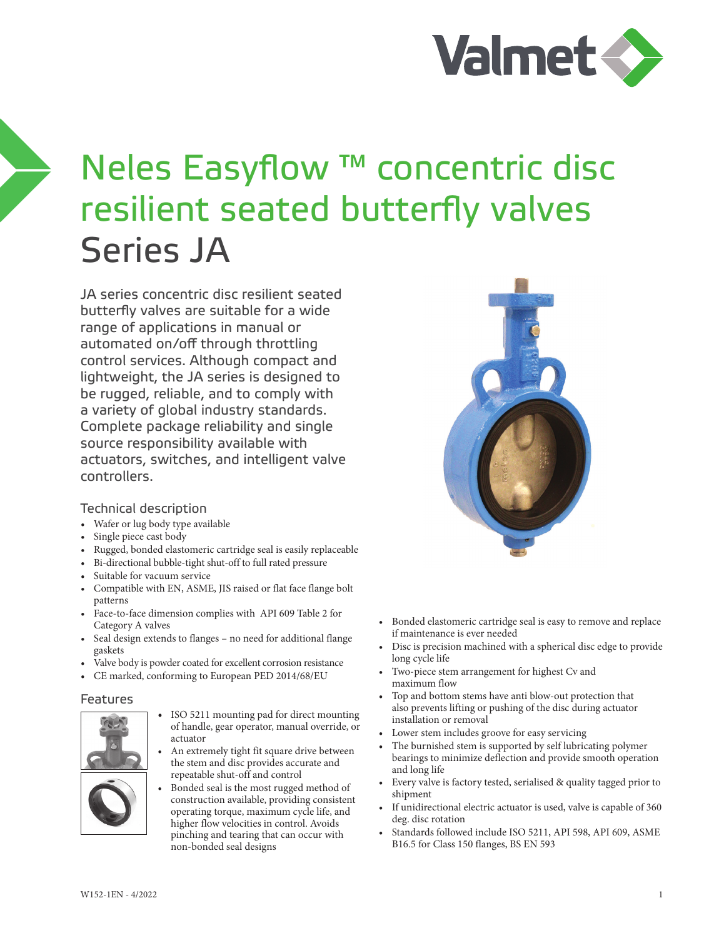

# Neles Easyflow ™ concentric disc resilient seated butterfly valves Series JA

JA series concentric disc resilient seated butterfly valves are suitable for a wide range of applications in manual or automated on/off through throttling control services. Although compact and lightweight, the JA series is designed to be rugged, reliable, and to comply with a variety of global industry standards. Complete package reliability and single source responsibility available with actuators, switches, and intelligent valve controllers.

#### Technical description

- Wafer or lug body type available
- Single piece cast body
- Rugged, bonded elastomeric cartridge seal is easily replaceable
- Bi-directional bubble-tight shut-off to full rated pressure
- Suitable for vacuum service
- Compatible with EN, ASME, JIS raised or flat face flange bolt patterns
- Face-to-face dimension complies with API 609 Table 2 for Category A valves
- Seal design extends to flanges no need for additional flange gaskets
- Valve body is powder coated for excellent corrosion resistance
- CE marked, conforming to European PED 2014/68/EU

#### Features



- ISO 5211 mounting pad for direct mounting of handle, gear operator, manual override, or actuator
- An extremely tight fit square drive between the stem and disc provides accurate and repeatable shut-off and control
- Bonded seal is the most rugged method of construction available, providing consistent operating torque, maximum cycle life, and higher flow velocities in control. Avoids pinching and tearing that can occur with non-bonded seal designs



- Bonded elastomeric cartridge seal is easy to remove and replace if maintenance is ever needed
- Disc is precision machined with a spherical disc edge to provide long cycle life
- Two-piece stem arrangement for highest Cv and maximum flow
- Top and bottom stems have anti blow-out protection that also prevents lifting or pushing of the disc during actuator installation or removal
- Lower stem includes groove for easy servicing
- The burnished stem is supported by self lubricating polymer bearings to minimize deflection and provide smooth operation and long life
- Every valve is factory tested, serialised & quality tagged prior to shipment
- If unidirectional electric actuator is used, valve is capable of 360 deg. disc rotation
- Standards followed include ISO 5211, API 598, API 609, ASME B16.5 for Class 150 flanges, BS EN 593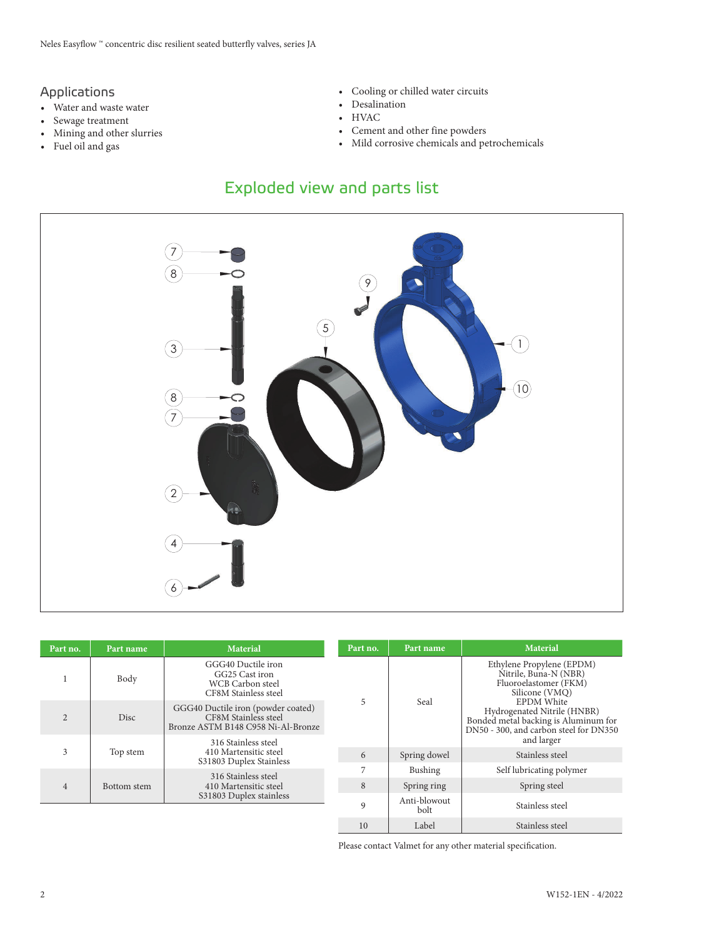#### Applications

- Water and waste water
- Sewage treatment
- Mining and other slurries
- Fuel oil and gas
- Cooling or chilled water circuits
- Desalination
- HVAC
- Cement and other fine powders
- Mild corrosive chemicals and petrochemicals

## Exploded view and parts list



| Part no.       | Part name   | <b>Material</b>                                                                                  | Part no. | Part name            | <b>Material</b>                                                                                                                    |
|----------------|-------------|--------------------------------------------------------------------------------------------------|----------|----------------------|------------------------------------------------------------------------------------------------------------------------------------|
|                | Body        | GGG40 Ductile iron<br>GG25 Cast iron<br>WCB Carbon steel<br>CF8M Stainless steel                 |          |                      | Ethylene Propylene (EPDM)<br>Nitrile, Buna-N (NBR)<br>Fluoroelastomer (FKM)<br>Silicone (VMQ)                                      |
| $\overline{2}$ | Disc        | GGG40 Ductile iron (powder coated)<br>CF8M Stainless steel<br>Bronze ASTM B148 C958 Ni-Al-Bronze | 5        | Seal                 | <b>EPDM</b> White<br>Hydrogenated Nitrile (HNBR)<br>Bonded metal backing is Aluminum for<br>DN50 - 300, and carbon steel for DN350 |
|                | Top stem    | 316 Stainless steel                                                                              |          |                      | and larger                                                                                                                         |
| 3              |             | 410 Martensitic steel<br>S31803 Duplex Stainless                                                 | 6        | Spring dowel         | Stainless steel                                                                                                                    |
|                |             |                                                                                                  | 7        | Bushing              | Self lubricating polymer                                                                                                           |
| $\overline{4}$ | Bottom stem | 316 Stainless steel<br>410 Martensitic steel                                                     | 8        | Spring ring          | Spring steel                                                                                                                       |
|                |             | S31803 Duplex stainless                                                                          | 9        | Anti-blowout<br>bolt | Stainless steel                                                                                                                    |
|                |             |                                                                                                  | 10       | Label                | Stainless steel                                                                                                                    |

Please contact Valmet for any other material specification.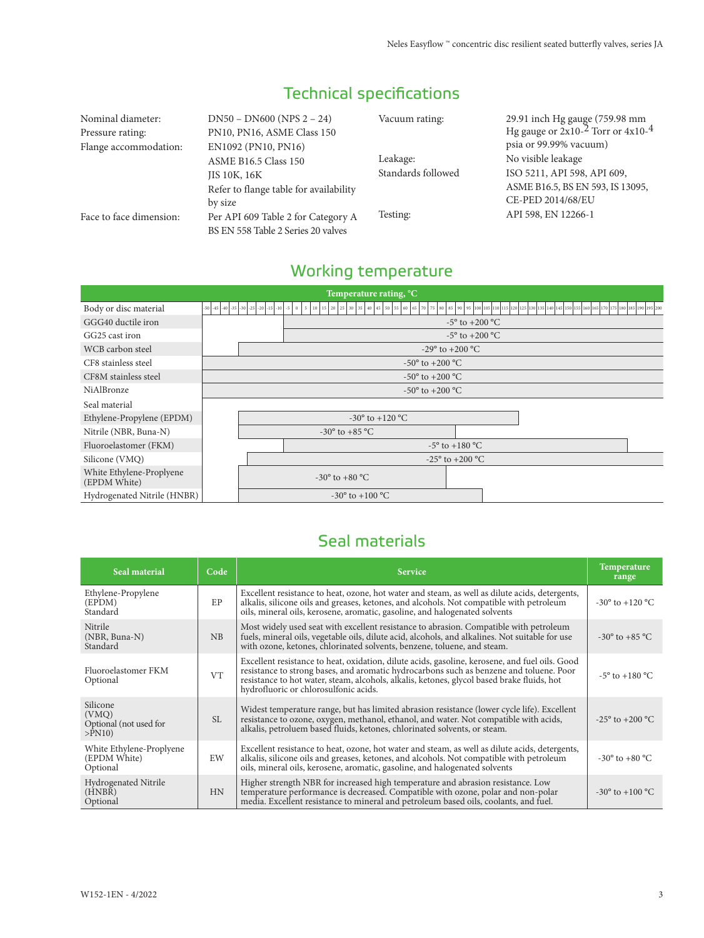| Nominal diameter:<br>Pressure rating:<br>Flange accommodation: | $DN50 - DN600 (NPS 2 - 24)$<br>PN10, PN16, ASME Class 150<br>EN1092 (PN10, PN16)                 | Vacuum rating:                 | 29.91 inch Hg gauge (759.98 mm<br>Hg gauge or $2x10^{-2}$ Torr or $4x10^{-4}$<br>psia or 99.99% vacuum)    |  |
|----------------------------------------------------------------|--------------------------------------------------------------------------------------------------|--------------------------------|------------------------------------------------------------------------------------------------------------|--|
|                                                                | ASME B16.5 Class 150<br><b>JIS 10K, 16K</b><br>Refer to flange table for availability<br>by size | Leakage:<br>Standards followed | No visible leakage<br>ISO 5211, API 598, API 609,<br>ASME B16.5, BS EN 593, IS 13095,<br>CE-PED 2014/68/EU |  |
| Face to face dimension:                                        | Per API 609 Table 2 for Category A<br>BS EN 558 Table 2 Series 20 valves                         | Testing:                       | API 598, EN 12266-1                                                                                        |  |

# Technical specifications

# Working temperature

| Temperature rating, °C                   |                                          |                                                          |  |  |  |  |  |  |  |
|------------------------------------------|------------------------------------------|----------------------------------------------------------|--|--|--|--|--|--|--|
| Body or disc material                    | -50 -45 -40 -35 -30 -25 -20 -15 -10 -5 0 | $5 \mid 10 \mid 15 \mid 20 \mid 25 \mid 30 \mid 35 \mid$ |  |  |  |  |  |  |  |
| GGG40 ductile iron                       |                                          | $-5^{\circ}$ to $+200^{\circ}$ C                         |  |  |  |  |  |  |  |
| GG25 cast iron                           |                                          | $-5^{\circ}$ to $+200^{\circ}$ C                         |  |  |  |  |  |  |  |
| WCB carbon steel                         |                                          | $-29^{\circ}$ to $+200^{\circ}$ C                        |  |  |  |  |  |  |  |
| CF8 stainless steel                      |                                          | $-50^{\circ}$ to $+200^{\circ}$ C                        |  |  |  |  |  |  |  |
| CF8M stainless steel                     | $-50^{\circ}$ to $+200^{\circ}$ C        |                                                          |  |  |  |  |  |  |  |
| NiAlBronze                               | $-50^{\circ}$ to $+200^{\circ}$ C        |                                                          |  |  |  |  |  |  |  |
| Seal material                            |                                          |                                                          |  |  |  |  |  |  |  |
| Ethylene-Propylene (EPDM)                |                                          | $-30^{\circ}$ to $+120^{\circ}$ C                        |  |  |  |  |  |  |  |
| Nitrile (NBR, Buna-N)                    |                                          | $-30^{\circ}$ to $+85^{\circ}$ C                         |  |  |  |  |  |  |  |
| Fluoroelastomer (FKM)                    |                                          | $-5^{\circ}$ to $+180^{\circ}$ C                         |  |  |  |  |  |  |  |
| Silicone (VMQ)                           |                                          | $-25^{\circ}$ to $+200^{\circ}$ C                        |  |  |  |  |  |  |  |
| White Ethylene-Proplyene<br>(EPDM White) |                                          | $-30^{\circ}$ to $+80^{\circ}$ C                         |  |  |  |  |  |  |  |
| Hydrogenated Nitrile (HNBR)              |                                          | $-30^{\circ}$ to $+100^{\circ}$ C                        |  |  |  |  |  |  |  |

## Seal materials

| Seal material                                            | Code      | <b>Service</b>                                                                                                                                                                                                                                                                                                                   | Temperature<br>range               |
|----------------------------------------------------------|-----------|----------------------------------------------------------------------------------------------------------------------------------------------------------------------------------------------------------------------------------------------------------------------------------------------------------------------------------|------------------------------------|
| Ethylene-Propylene<br>(EPDM)<br>Standard                 | EP        | Excellent resistance to heat, ozone, hot water and steam, as well as dilute acids, detergents,<br>alkalis, silicone oils and greases, ketones, and alcohols. Not compatible with petroleum<br>oils, mineral oils, kerosene, aromatic, gasoline, and halogenated solvents                                                         | $-30^{\circ}$ to $+120^{\circ}$ C  |
| Nitrile<br>$(NBR, Buna-N)$<br>Standard                   | <b>NB</b> | Most widely used seat with excellent resistance to abrasion. Compatible with petroleum<br>fuels, mineral oils, vegetable oils, dilute acid, alcohols, and alkalines. Not suitable for use<br>with ozone, ketones, chlorinated solvents, benzene, toluene, and steam.                                                             | $-30^{\circ}$ to $+85^{\circ}$ C   |
| Fluoroelastomer FKM<br>Optional                          | <b>VT</b> | Excellent resistance to heat, oxidation, dilute acids, gasoline, kerosene, and fuel oils. Good<br>resistance to strong bases, and aromatic hydrocarbons such as benzene and toluene. Poor<br>resistance to hot water, steam, alcohols, alkalis, ketones, glycol based brake fluids, hot<br>hydrofluoric or chlorosulfonic acids. | $-5^{\circ}$ to $+180^{\circ}$ C   |
| Silicone<br>(VMQ)<br>Optional (not used for<br>$>$ PN10) | SL.       | Widest temperature range, but has limited abrasion resistance (lower cycle life). Excellent<br>resistance to ozone, oxygen, methanol, ethanol, and water. Not compatible with acids,<br>alkalis, petroluem based fluids, ketones, chlorinated solvents, or steam.                                                                | $-25^{\circ}$ to $+200^{\circ}$ C. |
| White Ethylene-Proplyene<br>(EPDM White)<br>Optional     | EW        | Excellent resistance to heat, ozone, hot water and steam, as well as dilute acids, detergents,<br>alkalis, silicone oils and greases, ketones, and alcohols. Not compatible with petroleum<br>oils, mineral oils, kerosene, aromatic, gasoline, and halogenated solvents                                                         | $-30^{\circ}$ to $+80^{\circ}$ C   |
| Hydrogenated Nitrile<br>(HNBR)<br>Optional               | HN        | Higher strength NBR for increased high temperature and abrasion resistance. Low<br>temperature performance is decreased. Compatible with ozone, polar and non-polar<br>media. Excellent resistance to mineral and petroleum based oils, coolants, and fuel.                                                                      | $-30^{\circ}$ to $+100^{\circ}$ C  |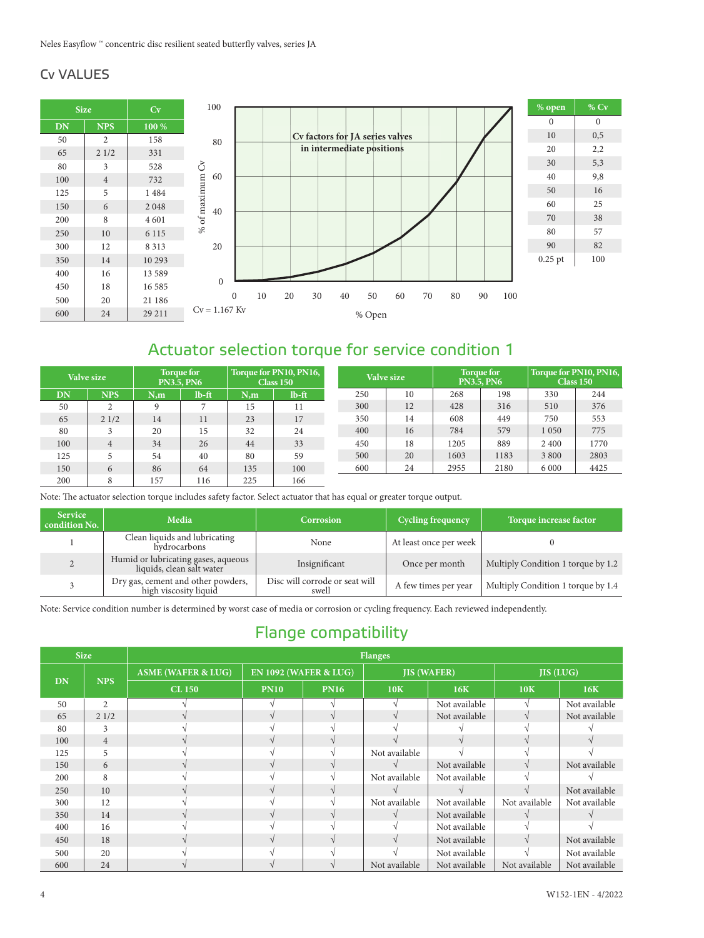### Cv VALUES



## Actuator selection torque for service condition 1

| Valve size |                | Torque for<br><b>PN3.5, PN6</b> |          | Torque for PN10, PN16,<br>Class 150 |          | Valve size |    | <b>Torque for</b><br><b>PN3.5, PN6</b> |      | Torque for PN10, PN16,<br>Class 150 |      |
|------------|----------------|---------------------------------|----------|-------------------------------------|----------|------------|----|----------------------------------------|------|-------------------------------------|------|
| DN         | <b>NPS</b>     | N.m                             | $lb$ -ft | N.m                                 | $lb$ -ft | 250        | 10 | 268                                    | 198  | 330                                 | 244  |
| 50         | 2              |                                 |          | 15                                  | 11       | 300        | 12 | 428                                    | 316  | 510                                 | 376  |
| 65         | 21/2           | 14                              | 11       | 23                                  | 17       | 350        | 14 | 608                                    | 449  | 750                                 | 553  |
| 80         |                | 20                              | 15       | 32                                  | 24       | 400        | 16 | 784                                    | 579  | 1050                                | 775  |
| 100        | $\overline{4}$ | 34                              | 26       | 44                                  | 33       | 450        | 18 | 1205                                   | 889  | 2 4 0 0                             | 1770 |
| 125        |                | 54                              | 40       | 80                                  | 59       | 500        | 20 | 1603                                   | 1183 | 3800                                | 2803 |
| 150        | 6              | 86                              | 64       | 135                                 | 100      | 600        | 24 | 2955                                   | 2180 | 6 0 0 0                             | 4425 |
| 200        | 8              | 157                             | 116      | 225                                 | 166      |            |    |                                        |      |                                     |      |

Note: The actuator selection torque includes safety factor. Select actuator that has equal or greater torque output.

| <b>Service</b><br>condition No. | Media                                                            | <b>Cycling frequency</b><br>Corrosion   |                        | Torque increase factor             |
|---------------------------------|------------------------------------------------------------------|-----------------------------------------|------------------------|------------------------------------|
|                                 | Clean liquids and lubricating<br>hydrocarbons                    | None                                    | At least once per week |                                    |
|                                 | Humid or lubricating gases, aqueous<br>liquids, clean salt water | Insignificant                           | Once per month         | Multiply Condition 1 torque by 1.2 |
|                                 | Dry gas, cement and other powders,<br>high viscosity liquid      | Disc will corrode or seat will<br>swell | A few times per year   | Multiply Condition 1 torque by 1.4 |

Note: Service condition number is determined by worst case of media or corrosion or cycling frequency. Each reviewed independently.

## Flange compatibility

| <b>Size</b><br><b>Flanges</b> |                |                               |             |                                  |               |                    |                  |               |  |
|-------------------------------|----------------|-------------------------------|-------------|----------------------------------|---------------|--------------------|------------------|---------------|--|
|                               | <b>NPS</b>     | <b>ASME (WAFER &amp; LUG)</b> |             | <b>EN 1092 (WAFER &amp; LUG)</b> |               | <b>JIS (WAFER)</b> | <b>JIS (LUG)</b> |               |  |
| DN                            |                | <b>CL 150</b>                 | <b>PN10</b> | <b>PN16</b>                      | 10K           | 16K                | 10K              | 16K           |  |
| 50                            | $\overline{2}$ |                               |             |                                  |               | Not available      |                  | Not available |  |
| 65                            | 21/2           |                               |             |                                  |               | Not available      | $\mathcal{N}$    | Not available |  |
| 80                            | 3              |                               |             |                                  |               |                    |                  |               |  |
| 100                           | $\overline{4}$ |                               |             |                                  |               |                    |                  |               |  |
| 125                           | 5              |                               |             |                                  | Not available |                    |                  |               |  |
| 150                           | 6              |                               |             |                                  |               | Not available      |                  | Not available |  |
| 200                           | 8              |                               |             |                                  | Not available | Not available      |                  |               |  |
| 250                           | 10             |                               |             |                                  |               |                    |                  | Not available |  |
| 300                           | 12             |                               |             |                                  | Not available | Not available      | Not available    | Not available |  |
| 350                           | 14             |                               |             |                                  |               | Not available      |                  |               |  |
| 400                           | 16             |                               |             |                                  |               | Not available      |                  |               |  |
| 450                           | 18             |                               |             |                                  |               | Not available      | $\mathcal{N}$    | Not available |  |
| 500                           | 20             |                               |             |                                  |               | Not available      |                  | Not available |  |
| 600                           | 24             |                               |             |                                  | Not available | Not available      | Not available    | Not available |  |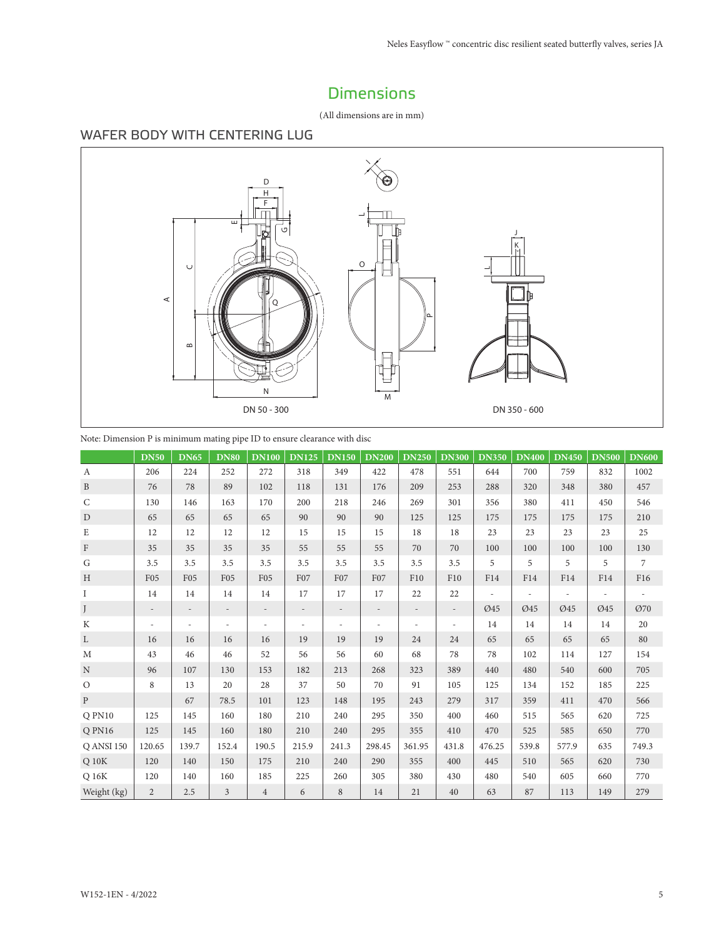## Dimensions

(All dimensions are in mm)

## WAFER BODY WITH CENTERING LUG



| Note: Dimension P is minimum mating pipe ID to ensure clearance with disc |
|---------------------------------------------------------------------------|
|                                                                           |

|                   | <b>DN50</b>              | <b>DN65</b>              | <b>DN80</b>     | <b>DN100</b>   | <b>DN125</b> | <b>DN150</b>             | <b>DN200</b>             | <b>DN250</b>             | <b>DN300</b>             | <b>DN350</b> | <b>DN400</b> | <b>DN450</b> | <b>DN500</b> | <b>DN600</b> |
|-------------------|--------------------------|--------------------------|-----------------|----------------|--------------|--------------------------|--------------------------|--------------------------|--------------------------|--------------|--------------|--------------|--------------|--------------|
| $\boldsymbol{A}$  | 206                      | 224                      | 252             | 272            | 318          | 349                      | 422                      | 478                      | 551                      | 644          | 700          | 759          | 832          | 1002         |
| $\mathbf{B}$      | 76                       | 78                       | 89              | 102            | 118          | 131                      | 176                      | 209                      | 253                      | 288          | 320          | 348          | 380          | 457          |
| $\mathsf{C}$      | 130                      | 146                      | 163             | 170            | 200          | 218                      | 246                      | 269                      | 301                      | 356          | 380          | 411          | 450          | 546          |
| D                 | 65                       | 65                       | 65              | 65             | 90           | 90                       | 90                       | 125                      | 125                      | 175          | 175          | 175          | 175          | 210          |
| E                 | 12                       | 12                       | 12              | 12             | 15           | 15                       | 15                       | 18                       | 18                       | 23           | 23           | 23           | 23           | 25           |
| $\Gamma$          | 35                       | 35                       | 35              | 35             | 55           | 55                       | 55                       | 70                       | 70                       | 100          | 100          | 100          | 100          | 130          |
| G                 | 3.5                      | 3.5                      | 3.5             | 3.5            | 3.5          | 3.5                      | 3.5                      | 3.5                      | 3.5                      | 5            | 5            | 5            | 5            | 7            |
| H                 | F <sub>05</sub>          | <b>F05</b>               | F <sub>05</sub> | <b>F05</b>     | F07          | F07                      | F <sub>07</sub>          | F10                      | F10                      | F14          | F14          | F14          | F14          | F16          |
| I                 | 14                       | 14                       | 14              | 14             | 17           | 17                       | 17                       | 22                       | 22                       |              |              |              |              |              |
| J                 | $\overline{\phantom{a}}$ | $\overline{\phantom{a}}$ | $\overline{a}$  |                |              | $\overline{a}$           |                          | $\overline{a}$           | $\overline{\phantom{0}}$ | Ø45          | Ø45          | Ø45          | Ø45          | Ø70          |
| K                 | ٠                        |                          |                 |                |              | $\overline{\phantom{a}}$ | $\overline{\phantom{a}}$ | $\overline{\phantom{a}}$ |                          | 14           | 14           | 14           | 14           | 20           |
| L                 | 16                       | 16                       | 16              | 16             | 19           | 19                       | 19                       | 24                       | 24                       | 65           | 65           | 65           | 65           | 80           |
| M                 | 43                       | 46                       | 46              | 52             | 56           | 56                       | 60                       | 68                       | 78                       | 78           | 102          | 114          | 127          | 154          |
| N                 | 96                       | 107                      | 130             | 153            | 182          | 213                      | 268                      | 323                      | 389                      | 440          | 480          | 540          | 600          | 705          |
| $\mathcal{O}$     | 8                        | 13                       | 20              | 28             | 37           | 50                       | 70                       | 91                       | 105                      | 125          | 134          | 152          | 185          | 225          |
| $\mathbf{P}$      |                          | 67                       | 78.5            | 101            | 123          | 148                      | 195                      | 243                      | 279                      | 317          | 359          | 411          | 470          | 566          |
| Q PN10            | 125                      | 145                      | 160             | 180            | 210          | 240                      | 295                      | 350                      | 400                      | 460          | 515          | 565          | 620          | 725          |
| Q PN16            | 125                      | 145                      | 160             | 180            | 210          | 240                      | 295                      | 355                      | 410                      | 470          | 525          | 585          | 650          | 770          |
| <b>Q ANSI 150</b> | 120.65                   | 139.7                    | 152.4           | 190.5          | 215.9        | 241.3                    | 298.45                   | 361.95                   | 431.8                    | 476.25       | 539.8        | 577.9        | 635          | 749.3        |
| $Q$ 10 $K$        | 120                      | 140                      | 150             | 175            | 210          | 240                      | 290                      | 355                      | 400                      | 445          | 510          | 565          | 620          | 730          |
| Q 16K             | 120                      | 140                      | 160             | 185            | 225          | 260                      | 305                      | 380                      | 430                      | 480          | 540          | 605          | 660          | 770          |
| Weight (kg)       | $\overline{2}$           | 2.5                      | 3               | $\overline{4}$ | 6            | 8                        | 14                       | 21                       | 40                       | 63           | 87           | 113          | 149          | 279          |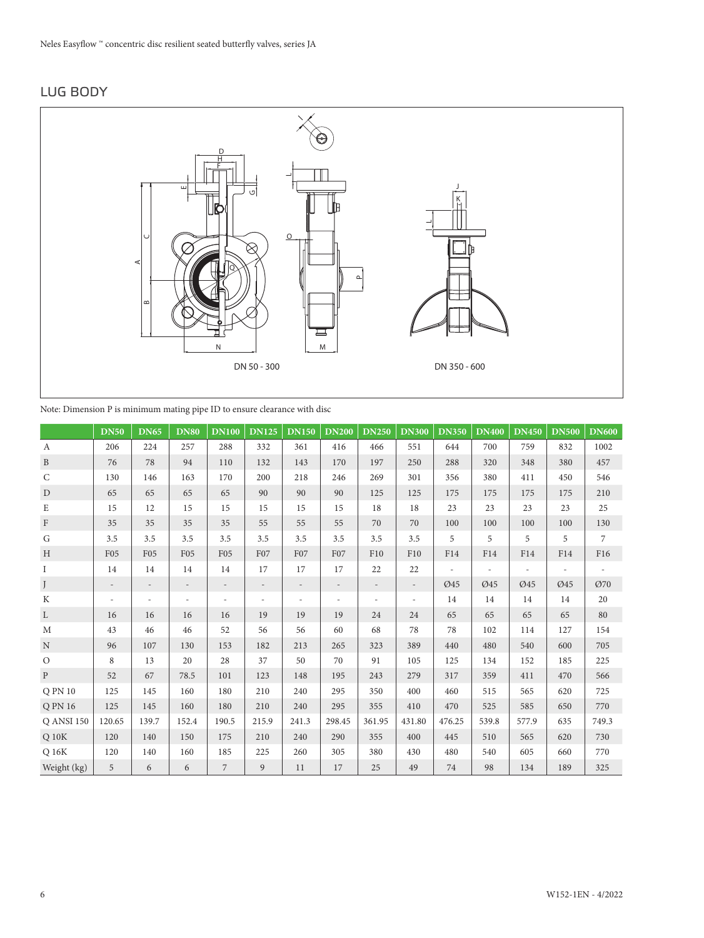#### LUG BODY



Note: Dimension P is minimum mating pipe ID to ensure clearance with disc

|                   | <b>DN50</b>              | <b>DN65</b>              | <b>DN80</b>              | <b>DN100</b>             | <b>DN125</b>      | <b>DN150</b>             | <b>DN200</b>             | <b>DN250</b>             | <b>DN300</b>             | <b>DN350</b> | <b>DN400</b> | <b>DN450</b> | <b>DN500</b> | <b>DN600</b>  |
|-------------------|--------------------------|--------------------------|--------------------------|--------------------------|-------------------|--------------------------|--------------------------|--------------------------|--------------------------|--------------|--------------|--------------|--------------|---------------|
| $\boldsymbol{A}$  | 206                      | 224                      | 257                      | 288                      | 332               | 361                      | 416                      | 466                      | 551                      | 644          | 700          | 759          | 832          | 1002          |
| $\mathbf{B}$      | 76                       | 78                       | 94                       | 110                      | 132               | 143                      | 170                      | 197                      | 250                      | 288          | 320          | 348          | 380          | 457           |
| $\mathsf{C}$      | 130                      | 146                      | 163                      | 170                      | 200               | 218                      | 246                      | 269                      | 301                      | 356          | 380          | 411          | 450          | 546           |
| $\mathbf D$       | 65                       | 65                       | 65                       | 65                       | 90                | 90                       | 90                       | 125                      | 125                      | 175          | 175          | 175          | 175          | 210           |
| $\mathbf E$       | 15                       | 12                       | 15                       | 15                       | 15                | 15                       | 15                       | 18                       | 18                       | 23           | 23           | 23           | 23           | 25            |
| $\rm F$           | 35                       | 35                       | 35                       | 35                       | 55                | 55                       | 55                       | 70                       | 70                       | 100          | 100          | 100          | 100          | 130           |
| G                 | 3.5                      | 3.5                      | 3.5                      | 3.5                      | 3.5               | 3.5                      | 3.5                      | 3.5                      | 3.5                      | 5            | 5            | 5            | 5            | $\mathcal{I}$ |
| H                 | F <sub>05</sub>          | F <sub>05</sub>          | F <sub>05</sub>          | F <sub>05</sub>          | F07               | F07                      | F07                      | F10                      | F10                      | F14          | F14          | F14          | F14          | F16           |
| $\mathbf I$       | 14                       | 14                       | 14                       | 14                       | 17                | 17                       | 17                       | 22                       | 22                       |              |              |              |              |               |
| J                 | $\overline{\phantom{a}}$ | $\overline{\phantom{a}}$ | $\overline{\phantom{a}}$ | $\overline{\phantom{a}}$ | $\qquad \qquad -$ | $\overline{a}$           | $\overline{\phantom{a}}$ | $\overline{\phantom{a}}$ | $\overline{\phantom{a}}$ | Ø45          | Ø45          | Ø45          | Ø45          | Ø70           |
| $\mathbf K$       | $\sim$                   |                          |                          | $\overline{\phantom{a}}$ | $\sim$            | $\overline{\phantom{a}}$ |                          |                          | $\overline{\phantom{a}}$ | 14           | 14           | 14           | 14           | 20            |
| L                 | 16                       | 16                       | 16                       | 16                       | 19                | 19                       | 19                       | 24                       | 24                       | 65           | 65           | 65           | 65           | 80            |
| M                 | 43                       | 46                       | 46                       | 52                       | 56                | 56                       | 60                       | 68                       | 78                       | 78           | 102          | 114          | 127          | 154           |
| $\mathbf N$       | 96                       | 107                      | 130                      | 153                      | 182               | 213                      | 265                      | 323                      | 389                      | 440          | 480          | 540          | 600          | 705           |
| $\circ$           | 8                        | 13                       | 20                       | 28                       | 37                | 50                       | 70                       | 91                       | 105                      | 125          | 134          | 152          | 185          | 225           |
| $\mathbf{P}$      | 52                       | 67                       | 78.5                     | 101                      | 123               | 148                      | 195                      | 243                      | 279                      | 317          | 359          | 411          | 470          | 566           |
| Q PN 10           | 125                      | 145                      | 160                      | 180                      | 210               | 240                      | 295                      | 350                      | 400                      | 460          | 515          | 565          | 620          | 725           |
| Q PN 16           | 125                      | 145                      | 160                      | 180                      | 210               | 240                      | 295                      | 355                      | 410                      | 470          | 525          | 585          | 650          | 770           |
| <b>Q ANSI 150</b> | 120.65                   | 139.7                    | 152.4                    | 190.5                    | 215.9             | 241.3                    | 298.45                   | 361.95                   | 431.80                   | 476.25       | 539.8        | 577.9        | 635          | 749.3         |
| $Q$ 10 $K$        | 120                      | 140                      | 150                      | 175                      | 210               | 240                      | 290                      | 355                      | 400                      | 445          | 510          | 565          | 620          | 730           |
| Q16K              | 120                      | 140                      | 160                      | 185                      | 225               | 260                      | 305                      | 380                      | 430                      | 480          | 540          | 605          | 660          | 770           |
| Weight (kg)       | 5                        | 6                        | 6                        | $\overline{7}$           | 9                 | 11                       | 17                       | 25                       | 49                       | 74           | 98           | 134          | 189          | 325           |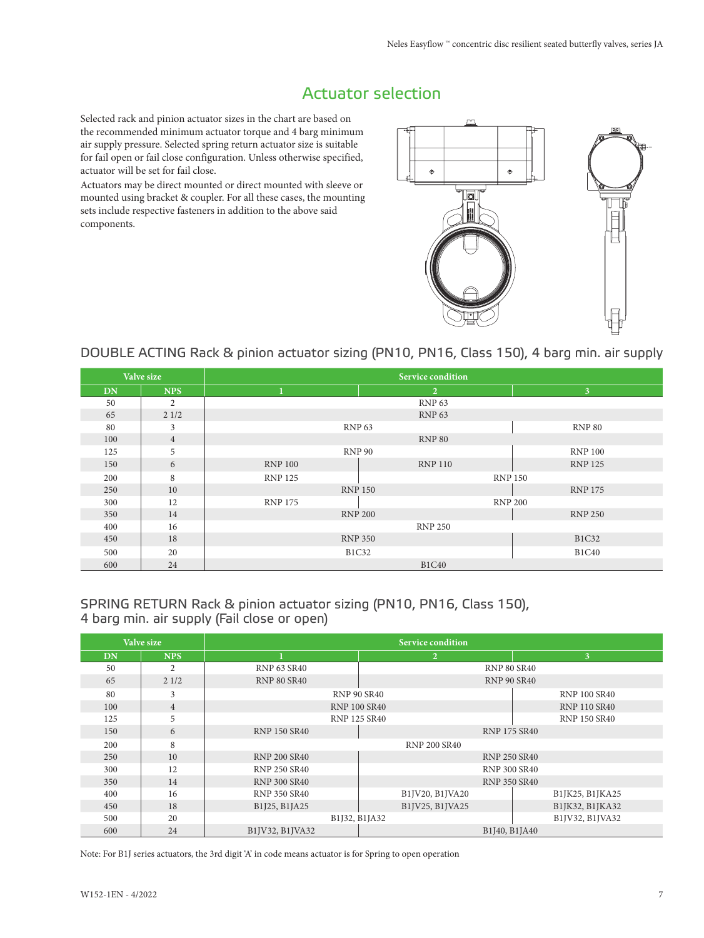## Actuator selection

Selected rack and pinion actuator sizes in the chart are based on the recommended minimum actuator torque and 4 barg minimum air supply pressure. Selected spring return actuator size is suitable for fail open or fail close configuration. Unless otherwise specified, actuator will be set for fail close.

Actuators may be direct mounted or direct mounted with sleeve or mounted using bracket & coupler. For all these cases, the mounting sets include respective fasteners in addition to the above said components.



#### DOUBLE ACTING Rack & pinion actuator sizing (PN10, PN16, Class 150), 4 barg min. air supply

|           | Valve size     |                                    | Service condition |                |  |  |  |  |  |
|-----------|----------------|------------------------------------|-------------------|----------------|--|--|--|--|--|
| <b>DN</b> | <b>NPS</b>     |                                    | $\overline{2}$    | 3              |  |  |  |  |  |
| 50        | 2              | <b>RNP 63</b>                      |                   |                |  |  |  |  |  |
| 65        | 21/2           | <b>RNP 63</b>                      |                   |                |  |  |  |  |  |
| 80        | 3              | RNP <sub>63</sub><br><b>RNP 80</b> |                   |                |  |  |  |  |  |
| 100       | $\overline{4}$ |                                    | <b>RNP 80</b>     |                |  |  |  |  |  |
| 125       | 5              | <b>RNP 90</b><br><b>RNP 100</b>    |                   |                |  |  |  |  |  |
| 150       | 6              | <b>RNP 100</b>                     | <b>RNP 110</b>    | <b>RNP 125</b> |  |  |  |  |  |
| 200       | 8              | <b>RNP 125</b>                     | <b>RNP 150</b>    |                |  |  |  |  |  |
| 250       | 10             |                                    | <b>RNP 150</b>    | <b>RNP 175</b> |  |  |  |  |  |
| 300       | 12             | <b>RNP 175</b>                     | <b>RNP 200</b>    |                |  |  |  |  |  |
| 350       | 14             |                                    | <b>RNP 200</b>    | <b>RNP 250</b> |  |  |  |  |  |
| 400       | 16             |                                    | <b>RNP 250</b>    |                |  |  |  |  |  |
| 450       | 18             | <b>RNP 350</b><br><b>B1C32</b>     |                   |                |  |  |  |  |  |
| 500       | 20             | <b>B1C40</b><br><b>B1C32</b>       |                   |                |  |  |  |  |  |
| 600       | 24             |                                    | <b>B1C40</b>      |                |  |  |  |  |  |

#### SPRING RETURN Rack & pinion actuator sizing (PN10, PN16, Class 150), 4 barg min. air supply (Fail close or open)

|           | Valve size     |                                            | <b>Service condition</b> |                     |  |  |  |
|-----------|----------------|--------------------------------------------|--------------------------|---------------------|--|--|--|
| <b>DN</b> | <b>NPS</b>     |                                            | $\overline{2}$           | 3                   |  |  |  |
| 50        | $\overline{2}$ | <b>RNP 63 SR40</b>                         |                          | <b>RNP 80 SR40</b>  |  |  |  |
| 65        | 21/2           | <b>RNP 80 SR40</b>                         |                          | <b>RNP 90 SR40</b>  |  |  |  |
| 80        | 3              | <b>RNP 90 SR40</b><br><b>RNP 100 SR40</b>  |                          |                     |  |  |  |
| 100       | $\overline{4}$ | <b>RNP 100 SR40</b><br><b>RNP 110 SR40</b> |                          |                     |  |  |  |
| 125       | 5              | <b>RNP 125 SR40</b><br><b>RNP 150 SR40</b> |                          |                     |  |  |  |
| 150       | 6              | <b>RNP 175 SR40</b><br><b>RNP 150 SR40</b> |                          |                     |  |  |  |
| 200       | 8              |                                            | <b>RNP 200 SR40</b>      |                     |  |  |  |
| 250       | 10             | <b>RNP 200 SR40</b>                        |                          | <b>RNP 250 SR40</b> |  |  |  |
| 300       | 12             | <b>RNP 250 SR40</b>                        |                          | <b>RNP 300 SR40</b> |  |  |  |
| 350       | 14             | <b>RNP 300 SR40</b>                        |                          | <b>RNP 350 SR40</b> |  |  |  |
| 400       | 16             | <b>RNP 350 SR40</b>                        | B1JV20, B1JVA20          | B1JK25, B1JKA25     |  |  |  |
| 450       | 18             | B1J25, B1JA25                              | B1JV25, B1JVA25          | B1JK32, B1JKA32     |  |  |  |
| 500       | 20             | B1J32, B1JA32<br>B1JV32, B1JVA32           |                          |                     |  |  |  |
| 600       | 24             | B1IV32, B1IVA32                            |                          | B1J40, B1JA40       |  |  |  |

Note: For B1J series actuators, the 3rd digit 'A' in code means actuator is for Spring to open operation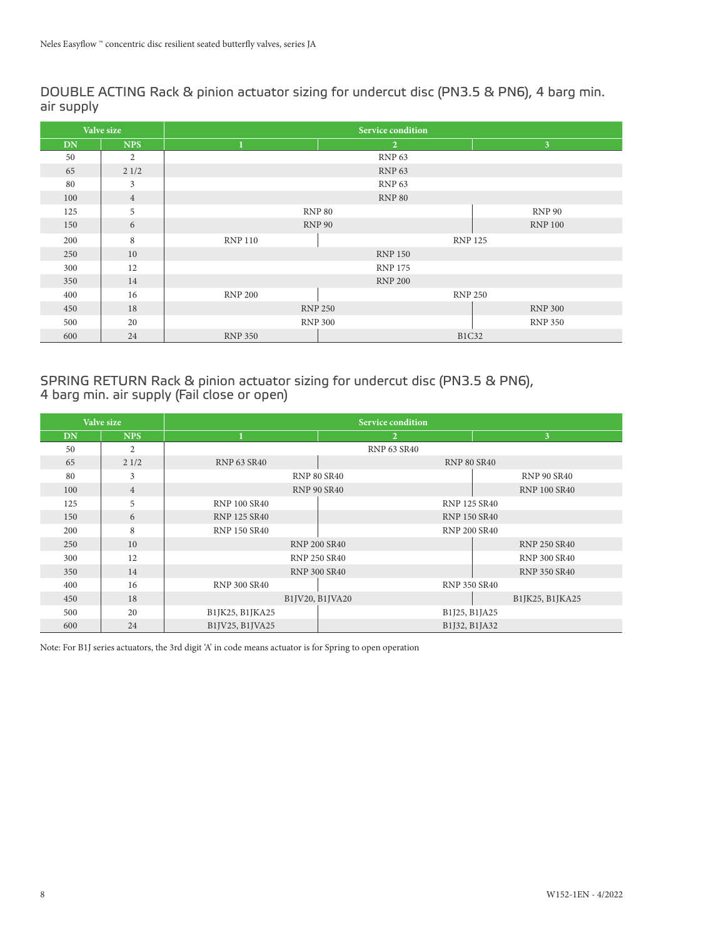DOUBLE ACTING Rack & pinion actuator sizing for undercut disc (PN3.5 & PN6), 4 barg min. air supply

|           | Valve size     | <b>Service condition</b>         |                |                |  |  |  |  |  |
|-----------|----------------|----------------------------------|----------------|----------------|--|--|--|--|--|
| <b>DN</b> | <b>NPS</b>     | 1                                | $\mathbf{2}$   | 3 <sup>1</sup> |  |  |  |  |  |
| 50        | $\overline{2}$ |                                  | <b>RNP 63</b>  |                |  |  |  |  |  |
| 65        | 21/2           |                                  | <b>RNP 63</b>  |                |  |  |  |  |  |
| 80        | 3              |                                  | <b>RNP 63</b>  |                |  |  |  |  |  |
| 100       | $\overline{4}$ |                                  | <b>RNP 80</b>  |                |  |  |  |  |  |
| 125       | 5              | <b>RNP 80</b>                    | <b>RNP 90</b>  |                |  |  |  |  |  |
| 150       | 6              |                                  | <b>RNP 90</b>  | <b>RNP 100</b> |  |  |  |  |  |
| 200       | 8              | <b>RNP 110</b><br><b>RNP 125</b> |                |                |  |  |  |  |  |
| 250       | 10             | <b>RNP 150</b>                   |                |                |  |  |  |  |  |
| 300       | 12             | <b>RNP 175</b>                   |                |                |  |  |  |  |  |
| 350       | 14             | <b>RNP 200</b>                   |                |                |  |  |  |  |  |
| 400       | 16             | <b>RNP 200</b>                   | <b>RNP 250</b> |                |  |  |  |  |  |
| 450       | 18             | <b>RNP 250</b>                   | <b>RNP 300</b> |                |  |  |  |  |  |
| 500       | 20             | <b>RNP 300</b><br><b>RNP 350</b> |                |                |  |  |  |  |  |
| 600       | 24             | <b>RNP 350</b>                   | <b>B1C32</b>   |                |  |  |  |  |  |

#### SPRING RETURN Rack & pinion actuator sizing for undercut disc (PN3.5 & PN6), 4 barg min. air supply (Fail close or open)

|           | Valve size     | <b>Service condition</b> |                     |                     |  |  |  |  |
|-----------|----------------|--------------------------|---------------------|---------------------|--|--|--|--|
| <b>DN</b> | <b>NPS</b>     |                          | $\overline{2}$      | $\mathbf{3}$        |  |  |  |  |
| 50        | $\overline{2}$ |                          | <b>RNP 63 SR40</b>  |                     |  |  |  |  |
| 65        | 21/2           | <b>RNP 63 SR40</b>       |                     | <b>RNP 80 SR40</b>  |  |  |  |  |
| 80        | 3              |                          | <b>RNP 80 SR40</b>  | <b>RNP 90 SR40</b>  |  |  |  |  |
| 100       | $\overline{4}$ |                          | <b>RNP 90 SR40</b>  | <b>RNP 100 SR40</b> |  |  |  |  |
| 125       | 5              | <b>RNP 100 SR40</b>      |                     | <b>RNP 125 SR40</b> |  |  |  |  |
| 150       | 6              | <b>RNP 125 SR40</b>      |                     | <b>RNP 150 SR40</b> |  |  |  |  |
| 200       | 8              | <b>RNP 150 SR40</b>      |                     | <b>RNP 200 SR40</b> |  |  |  |  |
| 250       | 10             |                          | <b>RNP 200 SR40</b> | <b>RNP 250 SR40</b> |  |  |  |  |
| 300       | 12             |                          | <b>RNP 250 SR40</b> | <b>RNP 300 SR40</b> |  |  |  |  |
| 350       | 14             |                          | <b>RNP 300 SR40</b> | <b>RNP 350 SR40</b> |  |  |  |  |
| 400       | 16             | <b>RNP 300 SR40</b>      |                     | <b>RNP 350 SR40</b> |  |  |  |  |
| 450       | 18             |                          | B1JV20, B1JVA20     | B1JK25, B1JKA25     |  |  |  |  |
| 500       | 20             | B1JK25, B1JKA25          |                     | B1J25, B1JA25       |  |  |  |  |
| 600       | 24             | B1JV25, B1JVA25          |                     | B1J32, B1JA32       |  |  |  |  |

Note: For B1J series actuators, the 3rd digit 'A' in code means actuator is for Spring to open operation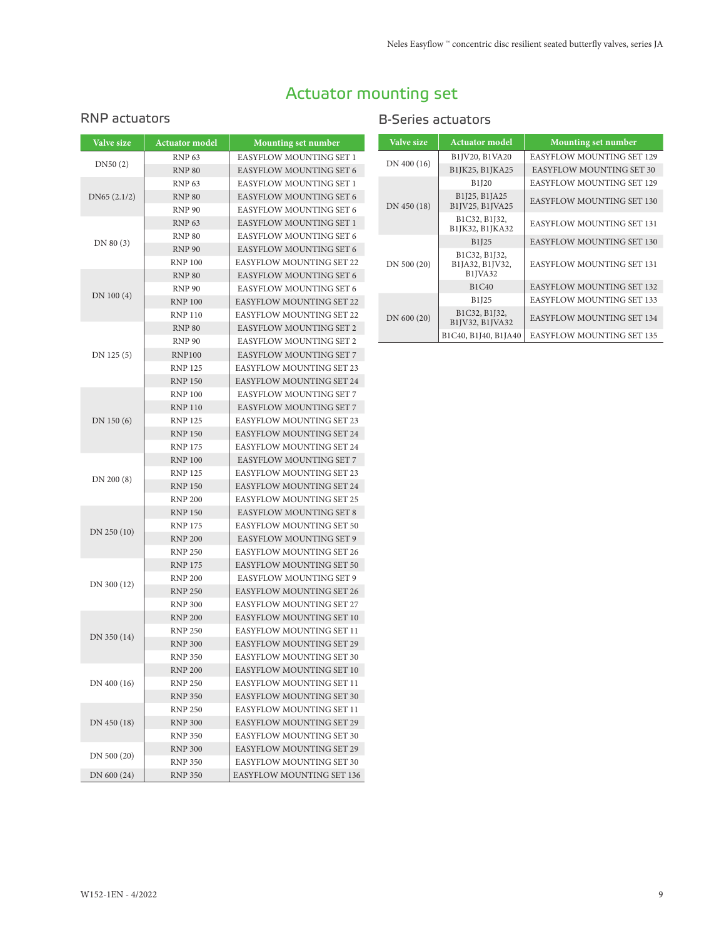# Actuator mounting set

#### RNP actuators

| <b>Valve size</b> | <b>Actuator model</b> | <b>Mounting set number</b>      |
|-------------------|-----------------------|---------------------------------|
|                   | <b>RNP 63</b>         | EASYFLOW MOUNTING SET 1         |
| DN50(2)           | <b>RNP 80</b>         | <b>EASYFLOW MOUNTING SET 6</b>  |
|                   | <b>RNP 63</b>         | EASYFLOW MOUNTING SET 1         |
| DN65(2.1/2)       | <b>RNP 80</b>         | <b>EASYFLOW MOUNTING SET 6</b>  |
|                   | <b>RNP 90</b>         | EASYFLOW MOUNTING SET 6         |
|                   | <b>RNP 63</b>         | <b>EASYFLOW MOUNTING SET 1</b>  |
|                   | <b>RNP 80</b>         | EASYFLOW MOUNTING SET 6         |
| DN 80 (3)         | <b>RNP 90</b>         | EASYFLOW MOUNTING SET 6         |
|                   | <b>RNP 100</b>        | <b>EASYFLOW MOUNTING SET 22</b> |
|                   | <b>RNP 80</b>         | EASYFLOW MOUNTING SET 6         |
|                   | <b>RNP 90</b>         | EASYFLOW MOUNTING SET 6         |
| DN 100 (4)        | <b>RNP 100</b>        | <b>EASYFLOW MOUNTING SET 22</b> |
|                   | <b>RNP 110</b>        | <b>EASYFLOW MOUNTING SET 22</b> |
|                   | <b>RNP 80</b>         | <b>EASYFLOW MOUNTING SET 2</b>  |
|                   | <b>RNP 90</b>         | <b>EASYFLOW MOUNTING SET 2</b>  |
| DN 125 (5)        | <b>RNP100</b>         | <b>EASYFLOW MOUNTING SET 7</b>  |
|                   | <b>RNP 125</b>        | <b>EASYFLOW MOUNTING SET 23</b> |
|                   | <b>RNP 150</b>        | <b>EASYFLOW MOUNTING SET 24</b> |
|                   | <b>RNP 100</b>        | <b>EASYFLOW MOUNTING SET 7</b>  |
|                   | <b>RNP 110</b>        | <b>EASYFLOW MOUNTING SET 7</b>  |
| DN 150 (6)        | <b>RNP 125</b>        | <b>EASYFLOW MOUNTING SET 23</b> |
|                   | <b>RNP 150</b>        | <b>EASYFLOW MOUNTING SET 24</b> |
|                   | <b>RNP 175</b>        | <b>EASYFLOW MOUNTING SET 24</b> |
|                   | <b>RNP 100</b>        | <b>EASYFLOW MOUNTING SET 7</b>  |
| DN 200 (8)        | <b>RNP 125</b>        | <b>EASYFLOW MOUNTING SET 23</b> |
|                   | <b>RNP 150</b>        | <b>EASYFLOW MOUNTING SET 24</b> |
|                   | <b>RNP 200</b>        | <b>EASYFLOW MOUNTING SET 25</b> |
|                   | <b>RNP 150</b>        | <b>EASYFLOW MOUNTING SET 8</b>  |
| DN 250 (10)       | <b>RNP 175</b>        | EASYFLOW MOUNTING SET 50        |
|                   | <b>RNP 200</b>        | EASYFLOW MOUNTING SET 9         |
|                   | <b>RNP 250</b>        | <b>EASYFLOW MOUNTING SET 26</b> |
|                   | <b>RNP 175</b>        | <b>EASYFLOW MOUNTING SET 50</b> |
| DN 300 (12)       | <b>RNP 200</b>        | EASYFLOW MOUNTING SET 9         |
|                   | <b>RNP 250</b>        | <b>EASYFLOW MOUNTING SET 26</b> |
|                   | <b>RNP 300</b>        | <b>EASYFLOW MOUNTING SET 27</b> |
|                   | <b>RNP 200</b>        | EASYFLOW MOUNTING SET 10        |
| DN 350 (14)       | <b>RNP 250</b>        | <b>EASYFLOW MOUNTING SET 11</b> |
|                   | <b>RNP 300</b>        | <b>EASYFLOW MOUNTING SET 29</b> |
|                   | <b>RNP 350</b>        | <b>EASYFLOW MOUNTING SET 30</b> |
|                   | <b>RNP 200</b>        | EASYFLOW MOUNTING SET 10        |
| DN 400 (16)       | <b>RNP 250</b>        | EASYFLOW MOUNTING SET 11        |
|                   | <b>RNP 350</b>        | <b>EASYFLOW MOUNTING SET 30</b> |
|                   | <b>RNP 250</b>        | EASYFLOW MOUNTING SET 11        |
| DN 450 (18)       | <b>RNP 300</b>        | <b>EASYFLOW MOUNTING SET 29</b> |
|                   | <b>RNP 350</b>        | EASYFLOW MOUNTING SET 30        |
| DN 500 (20)       | <b>RNP 300</b>        | EASYFLOW MOUNTING SET 29        |
|                   | <b>RNP 350</b>        | EASYFLOW MOUNTING SET 30        |
| DN 600 (24)       | <b>RNP 350</b>        | EASYFLOW MOUNTING SET 136       |

#### B-Series actuators

| Valve size  | <b>Actuator model</b>                                                | <b>Mounting set number</b>       |  |  |
|-------------|----------------------------------------------------------------------|----------------------------------|--|--|
|             | B1JV20, B1VA20                                                       | <b>EASYFLOW MOUNTING SET 129</b> |  |  |
| DN 400 (16) | B1JK25, B1JKA25                                                      | <b>EASYFLOW MOUNTING SET 30</b>  |  |  |
|             | <b>B1J20</b>                                                         | <b>EASYFLOW MOUNTING SET 129</b> |  |  |
| DN 450 (18) | B1J25, B1JA25<br>B1JV25, B1JVA25                                     | <b>EASYFLOW MOUNTING SET 130</b> |  |  |
|             | B1C32, B1J32,<br>B1JK32, B1JKA32                                     | EASYFLOW MOUNTING SET 131        |  |  |
|             | B1J25                                                                | <b>EASYFLOW MOUNTING SET 130</b> |  |  |
| DN 500 (20) | B1C32, B1J32,<br>B1JA32, B1JV32,<br>B <sub>1</sub> JVA <sub>32</sub> | EASYFLOW MOUNTING SET 131        |  |  |
|             | <b>B1C40</b>                                                         | <b>EASYFLOW MOUNTING SET 132</b> |  |  |
|             | B1J25                                                                | <b>EASYFLOW MOUNTING SET 133</b> |  |  |
| DN 600 (20) | B1C32, B1J32,<br>B1JV32, B1JVA32                                     | EASYFLOW MOUNTING SET 134        |  |  |
|             | B1C40, B1J40, B1JA40                                                 | <b>EASYFLOW MOUNTING SET 135</b> |  |  |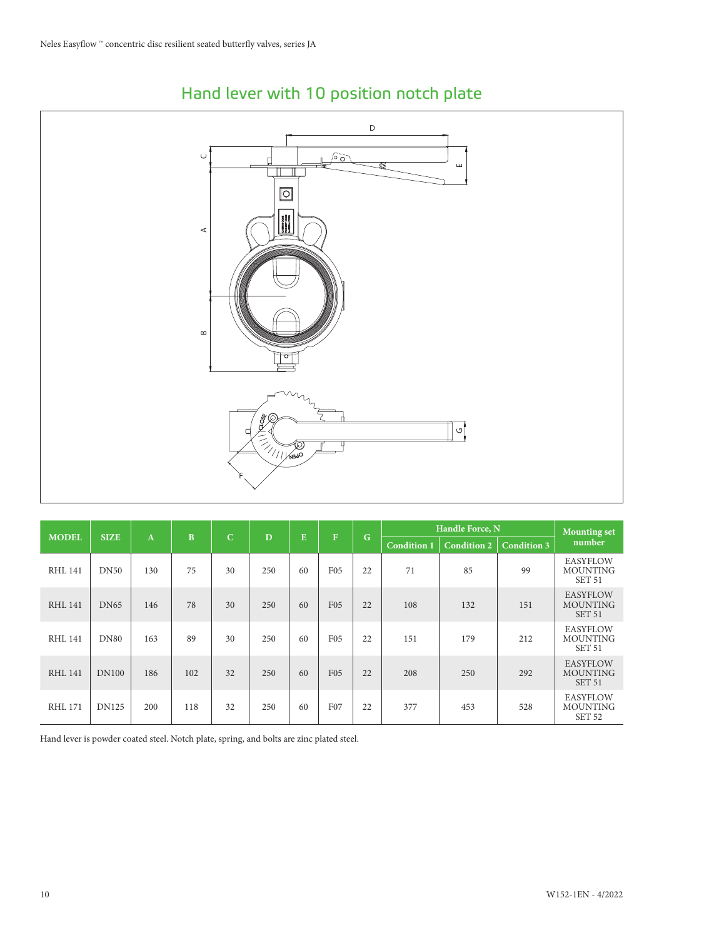

# Hand lever with 10 position notch plate

| <b>MODEL</b>   | <b>SIZE</b>  | $\mathbf{A}$ | B   | $\mathbf C$ | D   | E  | F               |    | G                  | Handle Force, N    | <b>Mounting set</b> |                                                         |
|----------------|--------------|--------------|-----|-------------|-----|----|-----------------|----|--------------------|--------------------|---------------------|---------------------------------------------------------|
|                |              |              |     |             |     |    |                 |    | <b>Condition 1</b> | <b>Condition 2</b> | <b>Condition 3</b>  | number                                                  |
| <b>RHL 141</b> | <b>DN50</b>  | 130          | 75  | 30          | 250 | 60 | <b>F05</b>      | 22 | 71                 | 85                 | 99                  | <b>EASYFLOW</b><br><b>MOUNTING</b><br>SET <sub>51</sub> |
| <b>RHL 141</b> | <b>DN65</b>  | 146          | 78  | 30          | 250 | 60 | <b>F05</b>      | 22 | 108                | 132                | 151                 | <b>EASYFLOW</b><br><b>MOUNTING</b><br>SET <sub>51</sub> |
| RHL 141        | <b>DN80</b>  | 163          | 89  | 30          | 250 | 60 | F <sub>05</sub> | 22 | 151                | 179                | 212                 | <b>EASYFLOW</b><br><b>MOUNTING</b><br>SET <sub>51</sub> |
| <b>RHL 141</b> | <b>DN100</b> | 186          | 102 | 32          | 250 | 60 | F <sub>05</sub> | 22 | 208                | 250                | 292                 | <b>EASYFLOW</b><br><b>MOUNTING</b><br>SET <sub>51</sub> |
| <b>RHL 171</b> | <b>DN125</b> | 200          | 118 | 32          | 250 | 60 | F07             | 22 | 377                | 453                | 528                 | <b>EASYFLOW</b><br><b>MOUNTING</b><br>SET <sub>52</sub> |

Hand lever is powder coated steel. Notch plate, spring, and bolts are zinc plated steel.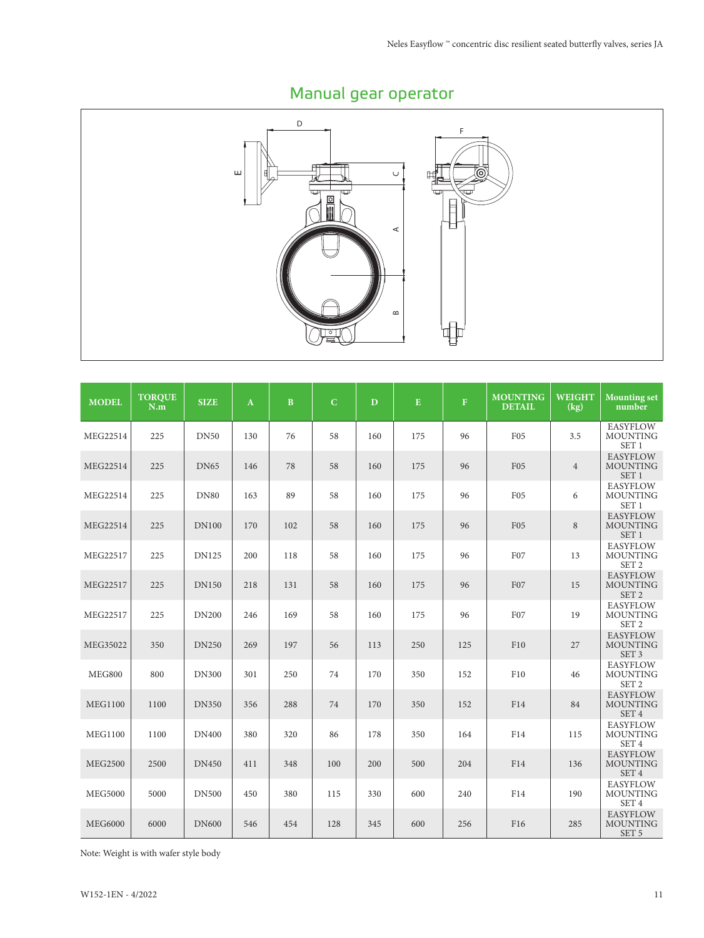

# Manual gear operator

| <b>MODEL</b>   | <b>TORQUE</b><br>N.m | <b>SIZE</b>  | $\mathbf{A}$ | $\mathbf{B}$ | $\overline{C}$ | $\mathbf{D}$ | ${\bf E}$ | $\mathbf F$ | <b>MOUNTING</b><br><b>DETAIL</b> | <b>WEIGHT</b><br>(kg) | <b>Mounting set</b><br>number                          |
|----------------|----------------------|--------------|--------------|--------------|----------------|--------------|-----------|-------------|----------------------------------|-----------------------|--------------------------------------------------------|
| MEG22514       | 225                  | <b>DN50</b>  | 130          | 76           | 58             | 160          | 175       | 96          | F <sub>05</sub>                  | 3.5                   | <b>EASYFLOW</b><br><b>MOUNTING</b><br>SET <sub>1</sub> |
| MEG22514       | 225                  | <b>DN65</b>  | 146          | 78           | 58             | 160          | 175       | 96          | F <sub>05</sub>                  | $\overline{4}$        | <b>EASYFLOW</b><br><b>MOUNTING</b><br>SET <sub>1</sub> |
| MEG22514       | 225                  | <b>DN80</b>  | 163          | 89           | 58             | 160          | 175       | 96          | F <sub>05</sub>                  | 6                     | <b>EASYFLOW</b><br><b>MOUNTING</b><br>SET <sub>1</sub> |
| MEG22514       | 225                  | <b>DN100</b> | 170          | 102          | 58             | 160          | 175       | 96          | F <sub>05</sub>                  | 8                     | <b>EASYFLOW</b><br><b>MOUNTING</b><br>SET <sub>1</sub> |
| MEG22517       | 225                  | <b>DN125</b> | 200          | 118          | 58             | 160          | 175       | 96          | F07                              | 13                    | <b>EASYFLOW</b><br><b>MOUNTING</b><br>SET <sub>2</sub> |
| MEG22517       | 225                  | <b>DN150</b> | 218          | 131          | 58             | 160          | 175       | 96          | F07                              | 15                    | <b>EASYFLOW</b><br><b>MOUNTING</b><br>SET <sub>2</sub> |
| MEG22517       | 225                  | <b>DN200</b> | 246          | 169          | 58             | 160          | 175       | 96          | F07                              | 19                    | <b>EASYFLOW</b><br><b>MOUNTING</b><br>SET <sub>2</sub> |
| MEG35022       | 350                  | <b>DN250</b> | 269          | 197          | 56             | 113          | 250       | 125         | F10                              | 27                    | <b>EASYFLOW</b><br><b>MOUNTING</b><br>SET <sub>3</sub> |
| <b>MEG800</b>  | 800                  | <b>DN300</b> | 301          | 250          | 74             | 170          | 350       | 152         | F10                              | 46                    | <b>EASYFLOW</b><br><b>MOUNTING</b><br>SET <sub>2</sub> |
| <b>MEG1100</b> | 1100                 | <b>DN350</b> | 356          | 288          | 74             | 170          | 350       | 152         | F14                              | 84                    | <b>EASYFLOW</b><br><b>MOUNTING</b><br>SET <sub>4</sub> |
| <b>MEG1100</b> | 1100                 | <b>DN400</b> | 380          | 320          | 86             | 178          | 350       | 164         | F14                              | 115                   | <b>EASYFLOW</b><br><b>MOUNTING</b><br>SET 4            |
| <b>MEG2500</b> | 2500                 | <b>DN450</b> | 411          | 348          | 100            | 200          | 500       | 204         | F14                              | 136                   | <b>EASYFLOW</b><br><b>MOUNTING</b><br>SET 4            |
| <b>MEG5000</b> | 5000                 | <b>DN500</b> | 450          | 380          | 115            | 330          | 600       | 240         | F14                              | 190                   | <b>EASYFLOW</b><br><b>MOUNTING</b><br>SET 4            |
| <b>MEG6000</b> | 6000                 | <b>DN600</b> | 546          | 454          | 128            | 345          | 600       | 256         | F16                              | 285                   | <b>EASYFLOW</b><br><b>MOUNTING</b><br>SET <sub>5</sub> |

Note: Weight is with wafer style body